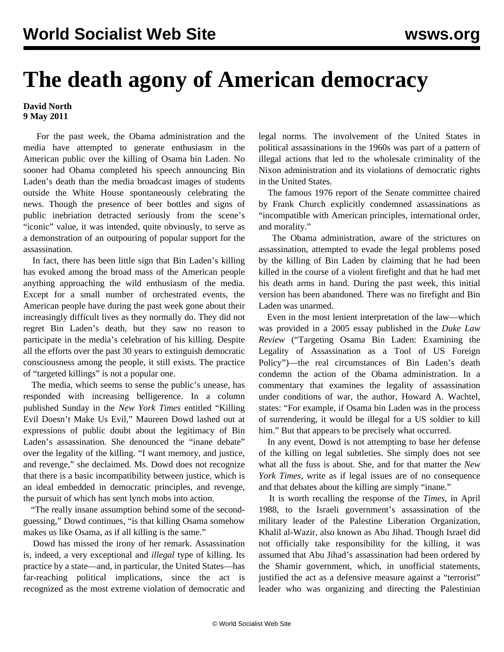## **The death agony of American democracy**

## **David North 9 May 2011**

 For the past week, the Obama administration and the media have attempted to generate enthusiasm in the American public over the killing of Osama bin Laden. No sooner had Obama completed his speech announcing Bin Laden's death than the media broadcast images of students outside the White House spontaneously celebrating the news. Though the presence of beer bottles and signs of public inebriation detracted seriously from the scene's "iconic" value, it was intended, quite obviously, to serve as a demonstration of an outpouring of popular support for the assassination.

 In fact, there has been little sign that Bin Laden's killing has evoked among the broad mass of the American people anything approaching the wild enthusiasm of the media. Except for a small number of orchestrated events, the American people have during the past week gone about their increasingly difficult lives as they normally do. They did not regret Bin Laden's death, but they saw no reason to participate in the media's celebration of his killing. Despite all the efforts over the past 30 years to extinguish democratic consciousness among the people, it still exists. The practice of "targeted killings" is not a popular one.

 The media, which seems to sense the public's unease, has responded with increasing belligerence. In a column published Sunday in the *New York Times* entitled "Killing Evil Doesn't Make Us Evil," Maureen Dowd lashed out at expressions of public doubt about the legitimacy of Bin Laden's assassination. She denounced the "inane debate" over the legality of the killing. "I want memory, and justice, and revenge," she declaimed. Ms. Dowd does not recognize that there is a basic incompatibility between justice, which is an ideal embedded in democratic principles, and revenge, the pursuit of which has sent lynch mobs into action.

 "The really insane assumption behind some of the secondguessing," Dowd continues, "is that killing Osama somehow makes us like Osama, as if all killing is the same."

 Dowd has missed the irony of her remark. Assassination is, indeed, a very exceptional and *illegal* type of killing. Its practice by a state—and, in particular, the United States—has far-reaching political implications, since the act is recognized as the most extreme violation of democratic and legal norms. The involvement of the United States in political assassinations in the 1960s was part of a pattern of illegal actions that led to the wholesale criminality of the Nixon administration and its violations of democratic rights in the United States.

 The famous 1976 report of the Senate committee chaired by Frank Church explicitly condemned assassinations as "incompatible with American principles, international order, and morality."

 The Obama administration, aware of the strictures on assassination, attempted to evade the legal problems posed by the killing of Bin Laden by claiming that he had been killed in the course of a violent firefight and that he had met his death arms in hand. During the past week, this initial version has been abandoned. There was no firefight and Bin Laden was unarmed.

 Even in the most lenient interpretation of the law—which was provided in a 2005 essay published in the *Duke Law Review* ("Targeting Osama Bin Laden: Examining the Legality of Assassination as a Tool of US Foreign Policy")—the real circumstances of Bin Laden's death condemn the action of the Obama administration. In a commentary that examines the legality of assassination under conditions of war, the author, Howard A. Wachtel, states: "For example, if Osama bin Laden was in the process of surrendering, it would be illegal for a US soldier to kill him." But that appears to be precisely what occurred.

 In any event, Dowd is not attempting to base her defense of the killing on legal subtleties. She simply does not see what all the fuss is about. She, and for that matter the *New York Times*, write as if legal issues are of no consequence and that debates about the killing are simply "inane."

 It is worth recalling the response of the *Times*, in April 1988, to the Israeli government's assassination of the military leader of the Palestine Liberation Organization, Khalil al-Wazir, also known as Abu Jihad. Though Israel did not officially take responsibility for the killing, it was assumed that Abu Jihad's assassination had been ordered by the Shamir government, which, in unofficial statements, justified the act as a defensive measure against a "terrorist" leader who was organizing and directing the Palestinian